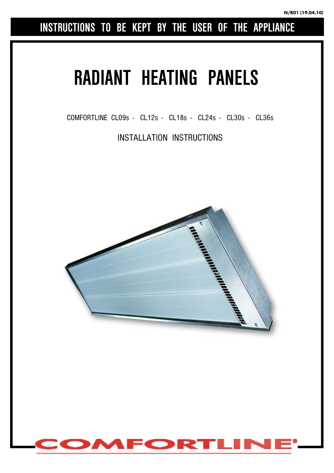**INSTRUCTIONS TO BE KEPT BY THE USER OF THE APPLIANCE** 

# **RADIANT HEATING PANELS**

COMFORTLINE CL09s - CL12s - CL18s - CL24s - CL30s - CL36s

INSTALLATION INSTRUCTIONS



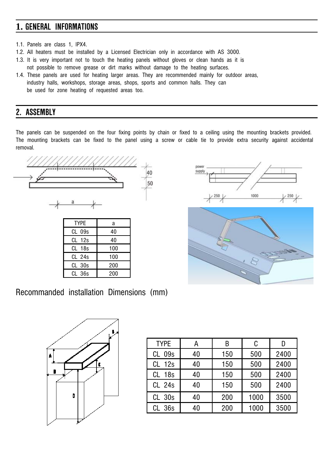# **1. GENERAL INFORMATIONS**

- 1.1. Panels are class 1, IPX4.
- 1.2. All heaters must be installed by a Licensed Electrician only in accordance with AS 3000.
- 1.3. It is very important not to touch the heating panels without gloves or clean hands as it is not possible to remove grease or dirt marks without damage to the heating surfaces.
- 1.4. These panels are used for heating larger areas. They are recommended mainly for outdoor areas, industry halls, workshops, storage areas, shops, sports and common halls. They can be used for zone heating of requested areas too.

## **2. ASSEMBLY**

The panels can be suspended on the four fixing points by chain or fixed to a ceiling using the mounting brackets provided. The mounting brackets can be fixed to the panel using a screw or cable tie to provide extra security against accidental removal.



| <b>TYPE</b>       | a   |  |
|-------------------|-----|--|
| CL 09s            | 40  |  |
| CL 12s            | 40  |  |
| CL 18s            | 100 |  |
| $CL$ 24s          | 100 |  |
| CL 30s            | 200 |  |
| CL <sub>36s</sub> | 200 |  |





| <b>TYPE</b> | А  | В   | C    |      |
|-------------|----|-----|------|------|
| 09s<br>CL   | 40 | 150 | 500  | 2400 |
| 12s<br>CL   | 40 | 150 | 500  | 2400 |
| 18s<br>CL   | 40 | 150 | 500  | 2400 |
| CL 24s      | 40 | 150 | 500  | 2400 |
| $CL$ 30s    | 40 | 200 | 1000 | 3500 |
| CL 36s      | 40 | 200 | 1000 | 3500 |



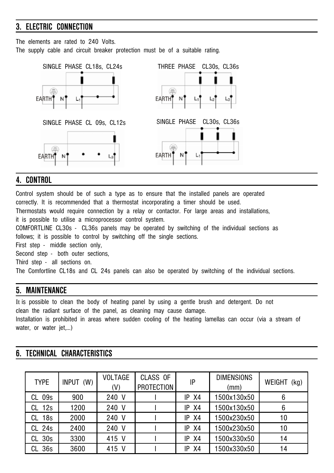## **3. ELECTRIC CONNECTION**

The elements are rated to 240 Volts.

The supply cable and circuit breaker protection must be of a suitable rating.



### **4. CONTROL**

Control system should be of such a type as to ensure that the installed panels are operated correctly. It is recommended that a thermostat incorporating a timer should be used. Thermostats would require connection by a relay or contactor. For large areas and installations, it is possible to utilise a microprocessor control system. COMFORTLINE CL30s - CL36s panels may be operated by switching of the individual sections as follows; it is possible to control by switching off the single sections. First step - middle section only, Second step - both outer sections. Third step - all sections on. The Comfortline CL18s and CL 24s panels can also be operated by switching of the individual sections. **5. MAINTENANCE** 

It is possible to clean the body of heating panel by using a gentle brush and detergent. Do not clean the radiant surface of the panel, as cleaning may cause damage. Installation is prohibited in areas where sudden cooling of the heating lamellas can occur (via a stream of water, or water jet,…)

#### **6. TECHNICAL CHARACTERISTICS**

| <b>TYPE</b>       | INPUT (W) | <b>VOLTAGE</b><br>(V) | CLASS OF<br><b>PROTECTION</b> | IP        | <b>DIMENSIONS</b><br>(mm) | <b>WEIGHT</b><br>(kg) |
|-------------------|-----------|-----------------------|-------------------------------|-----------|---------------------------|-----------------------|
| CL 09s            | 900       | 240 V                 |                               | $IP$ $X4$ | 1500x130x50               | 6                     |
| 12s<br>CL         | 1200      | 240 V                 |                               | X4<br>IP  | 1500x130x50               | 6                     |
| 18s<br>CL         | 2000      | 240 V                 |                               | $IP$ $X4$ | 1500x230x50               | 10                    |
| CL <sub>24s</sub> | 2400      | 240 V                 |                               | X4<br>IP  | 1500x230x50               | 10                    |
| CL <sub>30s</sub> | 3300      | 415 V                 |                               | X4<br>IP  | 1500x330x50               | 14                    |
| 36s<br>CL         | 3600      | 415 V                 |                               | X4<br>IP  | 1500x330x50               | 14                    |